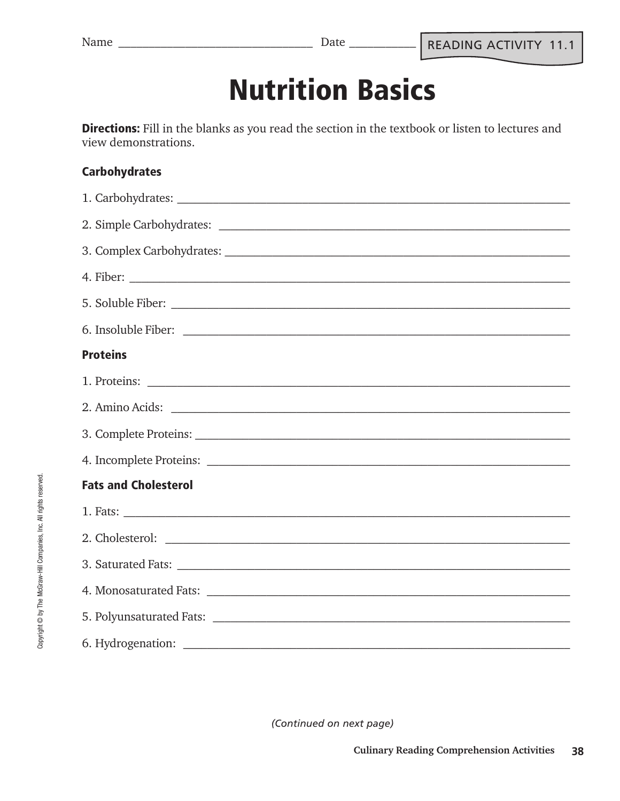## **Nutrition Basics**

**Directions:** Fill in the blanks as you read the section in the textbook or listen to lectures and view demonstrations.

### **Carbohydrates**

| <b>Proteins</b>                                        |  |  |  |  |
|--------------------------------------------------------|--|--|--|--|
|                                                        |  |  |  |  |
| 2. Amino Acids:                                        |  |  |  |  |
|                                                        |  |  |  |  |
|                                                        |  |  |  |  |
| <b>Fats and Cholesterol</b>                            |  |  |  |  |
|                                                        |  |  |  |  |
| 2. Cholesterol: <u>Alexander Charles Communication</u> |  |  |  |  |
|                                                        |  |  |  |  |
|                                                        |  |  |  |  |
|                                                        |  |  |  |  |
|                                                        |  |  |  |  |

*(Continued on next page)*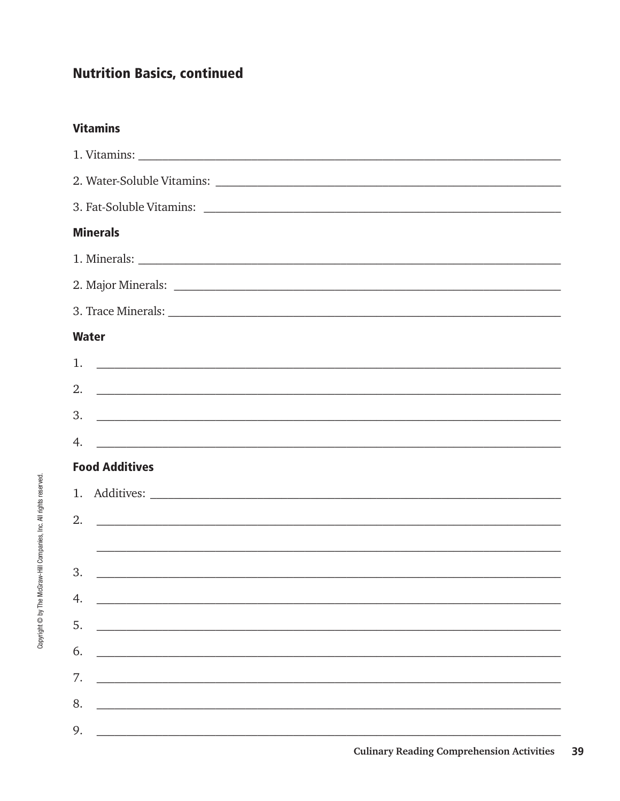### **Nutrition Basics, continued**

### **Vitamins**

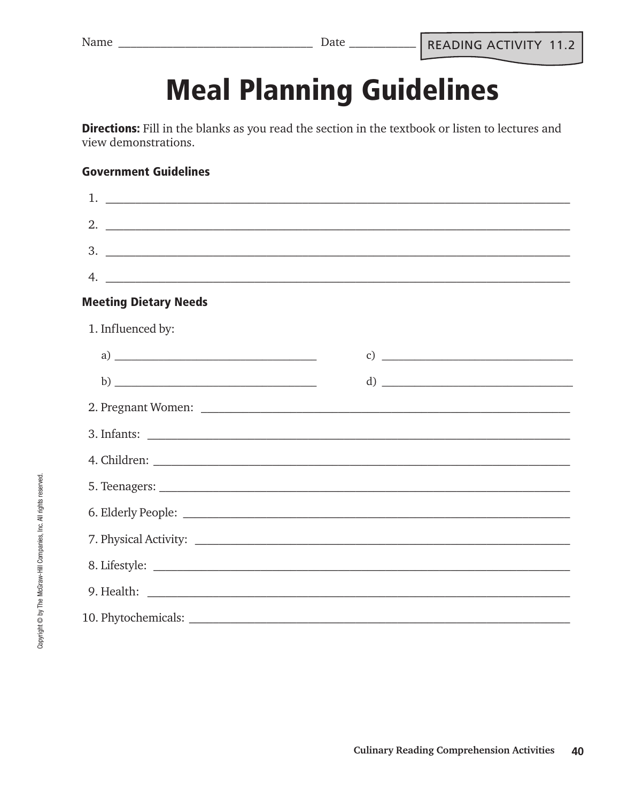# **Meal Planning Guidelines**

Directions: Fill in the blanks as you read the section in the textbook or listen to lectures and view demonstrations.

#### **Government Guidelines**

| 4.<br><u> Alexandro de la contrada de la contrada de la contrada de la contrada de la contrada de la contrada de la co</u> |  |                             |  |  |  |  |
|----------------------------------------------------------------------------------------------------------------------------|--|-----------------------------|--|--|--|--|
| <b>Meeting Dietary Needs</b>                                                                                               |  |                             |  |  |  |  |
| 1. Influenced by:                                                                                                          |  |                             |  |  |  |  |
|                                                                                                                            |  | c) $\overline{\phantom{a}}$ |  |  |  |  |
|                                                                                                                            |  |                             |  |  |  |  |
|                                                                                                                            |  |                             |  |  |  |  |
|                                                                                                                            |  |                             |  |  |  |  |
|                                                                                                                            |  |                             |  |  |  |  |
|                                                                                                                            |  |                             |  |  |  |  |
|                                                                                                                            |  |                             |  |  |  |  |
|                                                                                                                            |  |                             |  |  |  |  |
|                                                                                                                            |  |                             |  |  |  |  |
|                                                                                                                            |  |                             |  |  |  |  |
|                                                                                                                            |  |                             |  |  |  |  |